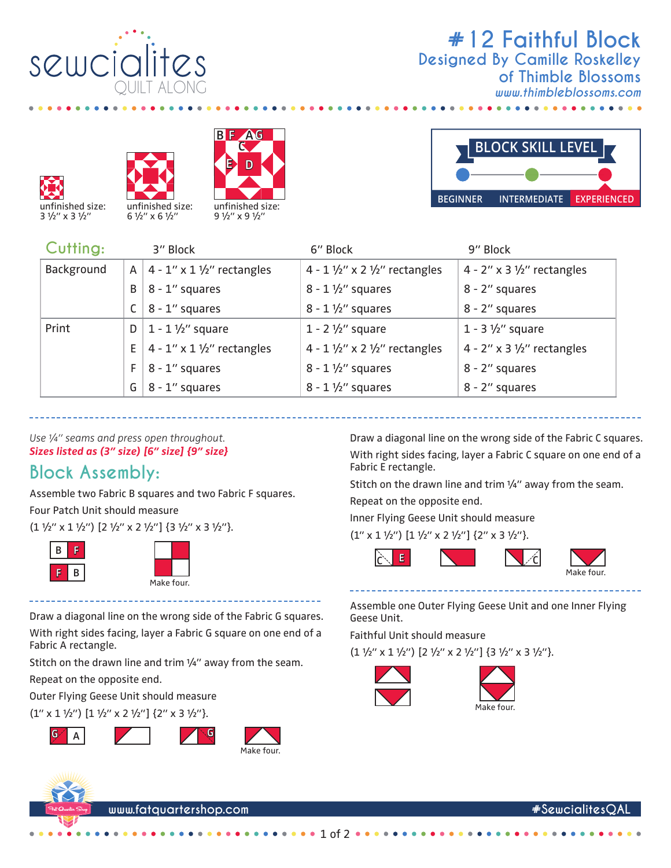

## **#12 Faithful Block** *www.thimbleblossoms.com* **Designed By Camille Roskelley of Thimble Blossoms**









 $\bullet$  $\bullet$ 

| Cutting:   |    | 3" Block                                     | 6" Block                                            | 9" Block                         |
|------------|----|----------------------------------------------|-----------------------------------------------------|----------------------------------|
| Background |    | A   $4 - 1$ " x $1 \frac{1}{2}$ " rectangles | 4 - $1\frac{1}{2}$ " x 2 $\frac{1}{2}$ " rectangles | 4 - $2''$ x 3 $1/2''$ rectangles |
|            | B  | $8 - 1$ " squares                            | $8 - 1 \frac{1}{2}$ squares                         | 8 - 2" squares                   |
|            |    | 8 - 1" squares                               | $8 - 1 \frac{1}{2}$ squares                         | 8 - 2" squares                   |
| Print      | D  | $1 - 1 \frac{1}{2}$ square                   | 1 - $2\frac{1}{2}$ " square                         | $1 - 3 \frac{1}{2}$ square       |
|            | E  | $4 - 1''$ x $1\frac{1}{2}''$ rectangles      | 4 - $1\frac{1}{2}$ " x 2 $\frac{1}{2}$ " rectangles | 4 - 2" x 3 $1/2$ " rectangles    |
|            | F. | 8 - 1" squares                               | $8 - 1 \frac{1}{2}$ squares                         | 8 - 2" squares                   |
|            | G  | 8 - 1" squares                               | $8 - 1 \frac{1}{2}$ squares                         | 8 - 2" squares                   |

*Use ¼" seams and press open throughout. Sizes listed as (3" size) [6" size] {9" size}*

## **Block Assembly:**

Assemble two Fabric B squares and two Fabric F squares.

Four Patch Unit should measure

 $(1 \frac{1}{2}$ " x 1  $\frac{1}{2}$ ")  $[2 \frac{1}{2}$ " x 2  $\frac{1}{2}$ "]  $\{3 \frac{1}{2}$ " x 3  $\frac{1}{2}$ "}.





With right sides facing, layer a Fabric G square on one end of a

Stitch on the drawn line and trim 1/4" away from the seam.

With right sides facing, layer a Fabric C square on one end of a Fabric E rectangle. Stitch on the drawn line and trim 1/4" away from the seam. Repeat on the opposite end.

Draw a diagonal line on the wrong side of the Fabric C squares.

Inner Flying Geese Unit should measure

 $(1'' \times 1 \frac{1}{2}'')$  [1  $\frac{1}{2}$ " x 2  $\frac{1}{2}$ "] {2" x 3  $\frac{1}{2}$ "}.



Assemble one Outer Flying Geese Unit and one Inner Flying Geese Unit. Draw a diagonal line on the wrong side of the Fabric G squares.

Faithful Unit should measure

 $(1 \frac{1}{2}$ " x 1  $\frac{1}{2}$ ")  $[2 \frac{1}{2}$ " x 2  $\frac{1}{2}$ "]  $\{3 \frac{1}{2}$ " x 3  $\frac{1}{2}$ "}.



1 of 2





Fabric A rectangle.

**B F**

Repeat on the opposite end.

Outer Flying Geese Unit should measure  $(1'' \times 1 \frac{1}{2}'')$   $[1 \frac{1}{2}'' \times 2 \frac{1}{2}'']$   $\{2'' \times 3 \frac{1}{2}''\}$ .

**G A G**

**www.fatquartershop.com #SewcialitesQAL**

Make four.